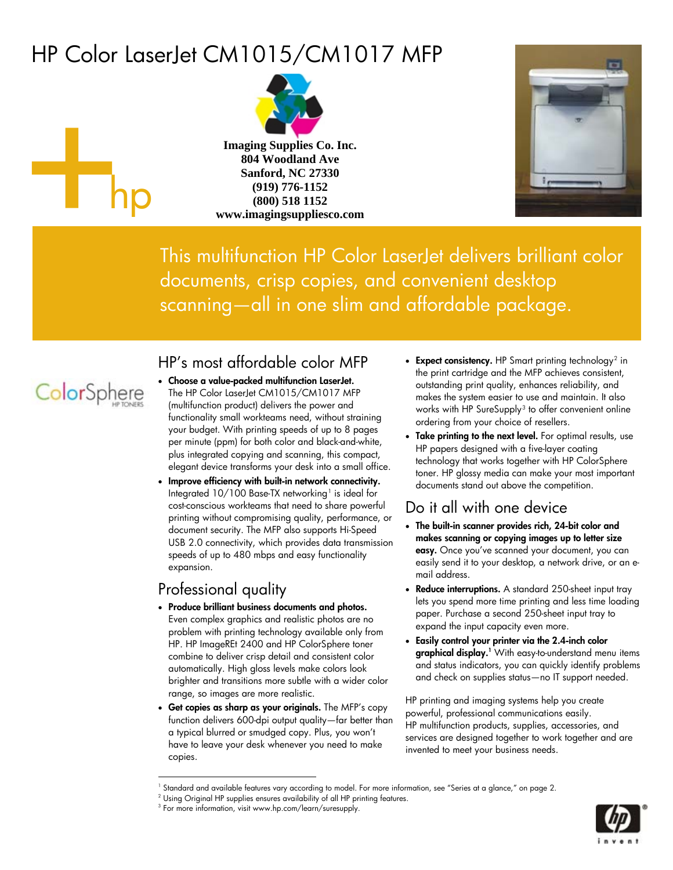# <span id="page-0-3"></span>HP Color LaserJet CM1015/CM1017 MFP



**Imaging Supplies Co. Inc. 804 Woodland Ave Sanford, NC 27330 (919) 776-1152 (800) 518 1152 www.imagingsuppliesco.com**



This multifunction HP Color LaserJet delivers brilliant color documents, crisp copies, and convenient desktop scanning—all in one slim and affordable package.



hp

### HP's most affordable color MFP

- Choose a value-packed multifunction LaserJet. The HP Color LaserJet CM1015/CM1017 MFP (multifunction product) delivers the power and functionality small workteams need, without straining your budget. With printing speeds of up to 8 pages per minute (ppm) for both color and black-and-white, plus integrated copying and scanning, this compact, elegant device transforms your desk into a small office.
- Improve efficiency with built-in network connectivity. Integrated  $10/100$  Base-TX networking<sup>1</sup> is ideal for cost-conscious workteams that need to share powerful printing without compromising quality, performance, or document security. The MFP also supports Hi-Speed USB 2.0 connectivity, which provides data transmission speeds of up to 480 mbps and easy functionality expansion.

### Professional quality

 $\overline{a}$ 

- Produce brilliant business documents and photos. Even complex graphics and realistic photos are no problem with printing technology available only from HP. HP ImageREt 2400 and HP ColorSphere toner combine to deliver crisp detail and consistent color automatically. High gloss levels make colors look brighter and transitions more subtle with a wider color range, so images are more realistic.
- Get copies as sharp as your originals. The MFP's copy function delivers 600-dpi output quality—far better than a typical blurred or smudged copy. Plus, you won't have to leave your desk whenever you need to make copies.
- Expect consistency. HP Smart printing technology<sup>2</sup> in the print cartridge and the MFP achieves consistent, outstanding print quality, enhances reliability, and makes the system easier to use and maintain. It also works with HP SureSupply<sup>[3](#page-0-2)</sup> to offer convenient online ordering from your choice of resellers.
- Take printing to the next level. For optimal results, use HP papers designed with a five-layer coating technology that works together with HP ColorSphere toner. HP glossy media can make your most important documents stand out above the competition.

### Do it all with one device

- The built-in scanner provides rich, 24-bit color and makes scanning or copying images up to letter size easy. Once you've scanned your document, you can easily send it to your desktop, a network drive, or an email address.
- Reduce interruptions. A standard 250-sheet input tray lets you spend more time printing and less time loading paper. Purchase a second 250-sheet input tray to expand the input capacity even more.
- Easily control your printer via the 2.4-inch color **graphical display.**<sup>1</sup> With easy-to-understand menu items and status indicators, you can quickly identify problems and check on supplies status—no IT support needed.

HP printing and imaging systems help you create powerful, professional communications easily. HP multifunction products, supplies, accessories, and services are designed together to work together and are invented to meet your business needs.



<sup>1</sup> Standard and available features vary according to model. For more information, see "Series at a glance," on page 2.

<span id="page-0-2"></span><span id="page-0-1"></span><span id="page-0-0"></span><sup>&</sup>lt;sup>2</sup> Using Original HP supplies ensures availability of all HP printing features.

<sup>3</sup> For more information, visit www.hp.com/learn/suresupply.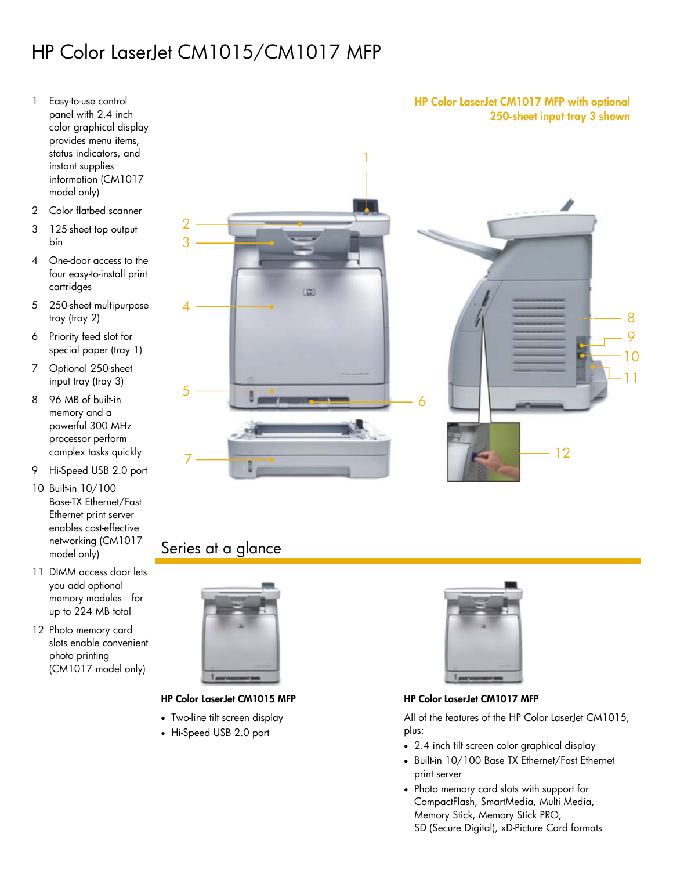# HP Color LaserJet CM1015/CM1017 MFP

- 1 Easy-to-use control panel with 2.4 inch color graphical display provides menu items, status indicators, and instant supplies information (CM1017 model only)
- 2 Color flatbed scanner
- 3 125-sheet top output bin
- 4 One-door access to the four easy-to-install print cartridges
- 5 250-sheet multipurpose tray (tray 2)
- 6 Priority feed slot for special paper (tray 1)
- 7 Optional 250-sheet input tray (tray 3)
- 8 96 MB of built-in memory and a powerful 300 MHz processor perform complex tasks quickly
- 9 Hi-Speed USB 2.0 port
- 10 Built-in 10/100 Base-TX Ethernet/Fast Ethernet print server enables cost-effective networking (CM1017 model only)
- 11 DIMM access door lets you add optional memory modules—for up to 224 MB total
- 12 Photo memory card slots enable convenient photo printing (CM1017 model only)



### Series at a glance



- Two-line tilt screen display
- Hi-Speed USB 2.0 port



#### HP Color LaserJet CM1015 MFP **HP Color LaserJet CM1017 MFP**

All of the features of the HP Color LaserJet CM1015, plus:

- 2.4 inch tilt screen color graphical display
- Built-in 10/100 Base TX Ethernet/Fast Ethernet print server
- Photo memory card slots with support for CompactFlash, SmartMedia, Multi Media, Memory Stick, Memory Stick PRO, SD (Secure Digital), xD-Picture Card formats

#### HP Color LaserJet CM1017 MFP with optional 250-sheet input tray 3 shown

8 9 10

11

12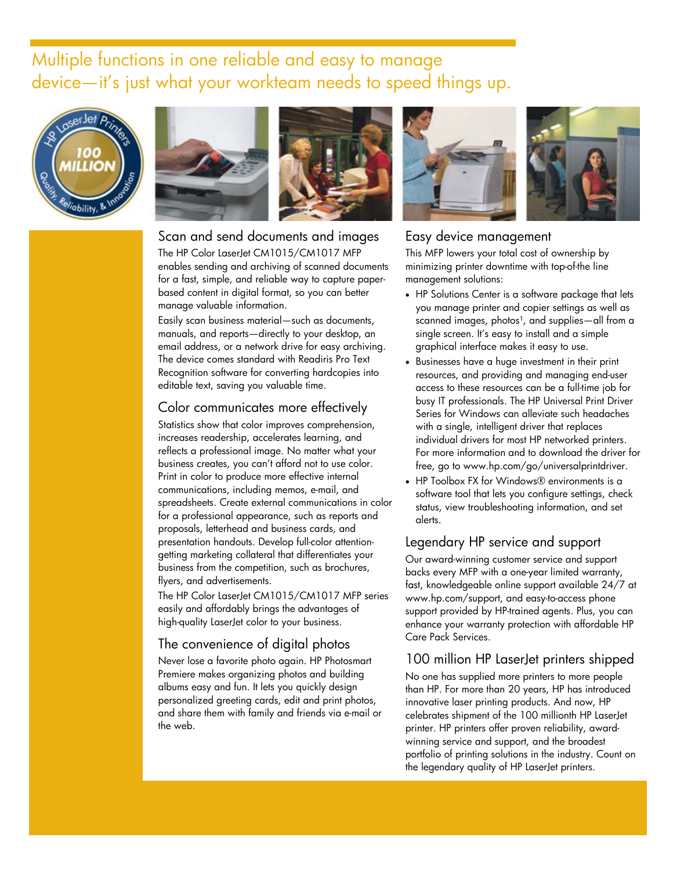## Multiple functions in one reliable and easy to manage device—it's just what your workteam needs to speed things up.







#### Scan and send documents and images

The HP Color LaserJet CM1015/CM1017 MFP enables sending and archiving of scanned documents for a fast, simple, and reliable way to capture paperbased content in digital format, so you can better manage valuable information.

Easily scan business material—such as documents, manuals, and reports—directly to your desktop, an email address, or a network drive for easy archiving. The device comes standard with Readiris Pro Text Recognition software for converting hardcopies into editable text, saving you valuable time.

#### Color communicates more effectively

Statistics show that color improves comprehension, increases readership, accelerates learning, and reflects a professional image. No matter what your business creates, you can't afford not to use color. Print in color to produce more effective internal communications, including memos, e-mail, and spreadsheets. Create external communications in color for a professional appearance, such as reports and proposals, letterhead and business cards, and presentation handouts. Develop full-color attentiongetting marketing collateral that differentiates your business from the competition, such as brochures, flyers, and advertisements.

The HP Color LaserJet CM1015/CM1017 MFP series easily and affordably brings the advantages of high-quality LaserJet color to your business.

#### The convenience of digital photos

Never lose a favorite photo again. HP Photosmart Premiere makes organizing photos and building albums easy and fun. It lets you quickly design personalized greeting cards, edit and print photos, and share them with family and friends via e-mail or the web.



#### Easy device management

This MFP lowers your total cost of ownership by minimizing printer downtime with top-of-the line management solutions:

- HP Solutions Center is a software package that lets you manage printer and copier settings as well as scanned images, photos<sup>1</sup>, and supplies—all from a single screen. It's easy to install and a simple graphical interface makes it easy to use.
- Businesses have a huge investment in their print resources, and providing and managing end-user access to these resources can be a full-time job for busy IT professionals. The HP Universal Print Driver Series for Windows can alleviate such headaches with a single, intelligent driver that replaces individual drivers for most HP networked printers. For more information and to download the driver for free, go to www.hp.com/go/universalprintdriver.
- HP Toolbox FX for Windows® environments is a software tool that lets you configure settings, check status, view troubleshooting information, and set alerts.

#### Legendary HP service and support

Our award-winning customer service and support backs every MFP with a one-year limited warranty, fast, knowledgeable online support available 24/7 at www.hp.com/support, and easy-to-access phone support provided by HP-trained agents. Plus, you can enhance your warranty protection with affordable HP Care Pack Services.

#### 100 million HP LaserJet printers shipped

No one has supplied more printers to more people than HP. For more than 20 years, HP has introduced innovative laser printing products. And now, HP celebrates shipment of the 100 millionth HP LaserJet printer. HP printers offer proven reliability, awardwinning service and support, and the broadest portfolio of printing solutions in the industry. Count on the legendary quality of HP LaserJet printers.